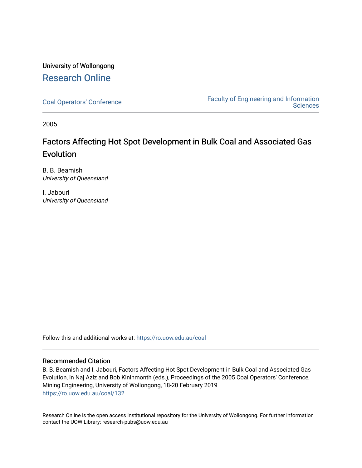# University of Wollongong [Research Online](https://ro.uow.edu.au/)

[Coal Operators' Conference](https://ro.uow.edu.au/coal) [Faculty of Engineering and Information](https://ro.uow.edu.au/eis)  **Sciences** 

2005

# Factors Affecting Hot Spot Development in Bulk Coal and Associated Gas **Evolution**

B. B. Beamish University of Queensland

I. Jabouri University of Queensland

Follow this and additional works at: [https://ro.uow.edu.au/coal](https://ro.uow.edu.au/coal?utm_source=ro.uow.edu.au%2Fcoal%2F132&utm_medium=PDF&utm_campaign=PDFCoverPages) 

# Recommended Citation

B. B. Beamish and I. Jabouri, Factors Affecting Hot Spot Development in Bulk Coal and Associated Gas Evolution, in Naj Aziz and Bob Kininmonth (eds.), Proceedings of the 2005 Coal Operators' Conference, Mining Engineering, University of Wollongong, 18-20 February 2019 [https://ro.uow.edu.au/coal/132](https://ro.uow.edu.au/coal/132?utm_source=ro.uow.edu.au%2Fcoal%2F132&utm_medium=PDF&utm_campaign=PDFCoverPages) 

Research Online is the open access institutional repository for the University of Wollongong. For further information contact the UOW Library: research-pubs@uow.edu.au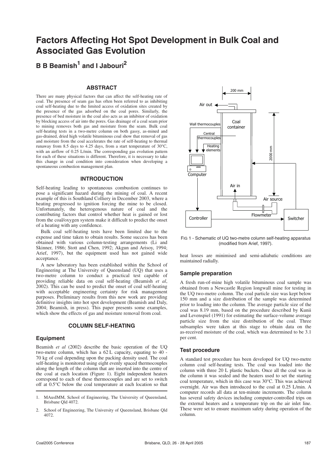# **Factors Affecting Hot Spot Development in Bulk Coal and Associated Gas Evolution**

**B B Beamish1 and I Jabouri<sup>2</sup>**

### **ABSTRACT**

There are many physical factors that can affect the self-heating rate of coal. The presence of seam gas has often been referred to as inhibiting coal self-heating due to the limited access of oxidation sites created by the presence of the gas adsorbed on the coal pores. Similarly, the presence of bed moisture in the coal also acts as an inhibitor of oxidation by blocking access of air into the pores. Gas drainage of a coal seam prior to mining removes both gas and moisture from the seam. Bulk coal self-heating tests in a two-metre column on both gassy, as-mined and gas-drained, dried high volatile bituminous coal show that removal of gas and moisture from the coal accelerates the rate of self-heating to thermal runaway from 8.5 days to 4.25 days, from a start temperature of 30°C, with an airflow of 0.25 L/min. The corresponding gas evolution pattern for each of these situations is different. Therefore, it is necessary to take this change in coal condition into consideration when developing a spontaneous combustion management plan.

# **INTRODUCTION**

Self-heating leading to spontaneous combustion continues to pose a significant hazard during the mining of coal. A recent example of this is Southland Colliery in December 2003, where a heating progressed to ignition forcing the mine to be closed. Unfortunately, the heterogenous nature of coal and the contributing factors that control whether heat is gained or lost from the coal/oxygen system make it difficult to predict the onset of a heating with any confidence.

Bulk coal self-heating tests have been limited due to the expense and time taken to obtain results. Some success has been obtained with various column-testing arrangements (Li and Skinner, 1986; Stott and Chen, 1992; Akgun and Arisoy, 1994; Arief, 1997), but the equipment used has not gained wide acceptance.

A new laboratory has been established within the School of Engineering at The University of Queensland (UQ) that uses a two-metre column to conduct a practical test capable of providing reliable data on coal self-heating (Beamish *et al*, 2002). This can be used to predict the onset of coal self-heating with acceptable engineering certainty for risk management purposes. Preliminary results from this new work are providing definitive insights into hot spot development (Beamish and Daly, 2004; Beamish, in press). This paper presents some examples, which show the effects of gas and moisture removal from coal.

### **COLUMN SELF-HEATING**

#### **Equipment**

Beamish *et al* (2002) describe the basic operation of the UQ two-metre column, which has a 62 L capacity, equating to 40 - 70 kg of coal depending upon the packing density used. The coal self-heating is monitored using eight evenly spaced thermocouples along the length of the column that are inserted into the centre of the coal at each location (Figure 1). Eight independent heaters correspond to each of these thermocouples and are set to switch off at 0.5°C below the coal temperature at each location so that



FIG 1 - Schematic of UQ two-metre column self-heating apparatus (modified from Arief, 1997).

heat losses are minimised and semi-adiabatic conditions are maintained radially.

## **Sample preparation**

A fresh run-of-mine high volatile bituminous coal sample was obtained from a Newcastle Region longwall mine for testing in the UQ two-metre column. The coal particle size was kept below 150 mm and a size distribution of the sample was determined prior to loading into the column. The average particle size of the coal was 8.19 mm, based on the procedure described by Kunii and Levenspiel (1991) for estimating the surface-volume average particle size from the size distribution of the coal. Three subsamples were taken at this stage to obtain data on the as-received moisture of the coal, which was determined to be 3.1 per cent.

## **Test procedure**

A standard test procedure has been developed for UQ two-metre column coal self-heating tests. The coal was loaded into the column with three 20 L plastic buckets. Once all the coal was in the column it was sealed and the heaters used to set the starting coal temperature, which in this case was 30°C. This was achieved overnight. Air was then introduced to the coal at 0.25 L/min. A computer records all data at ten-minute increments. The column has several safety devices including computer-controlled trips on the external heaters and a temperature trip on the air inlet line. These were set to ensure maximum safety during operation of the column.

<sup>1.</sup> MAusIMM, School of Engineering, The University of Queensland, Brisbane Qld 4072.

<sup>2.</sup> School of Engineering, The University of Queensland, Brisbane Qld 4072.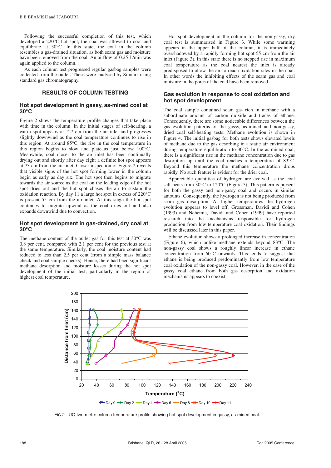Following the successful completion of this test, which developed a 220°C hot spot, the coal was allowed to cool and equilibrate at  $30^{\circ}$ C. In this state, the coal in the column resembles a gas-drained situation, as both seam gas and moisture have been removed from the coal. An airflow of 0.25 L/min was again applied to the column.

As each column test progressed regular gasbag samples were collected from the outlet. These were analysed by Simtars using standard gas chromatography.

# **RESULTS OF COLUMN TESTING**

#### **Hot spot development in gassy, as-mined coal at 30°C**

Figure 2 shows the temperature profile changes that take place with time in the column. In the initial stages of self-heating, a warm spot appears at 127 cm from the air inlet and progresses slightly downwind as the coal temperature continues to rise in this region. At around 85°C, the rise in the coal temperature in this region begins to slow and plateaus just below 100°C. Meanwhile, coal closer to the air inlet has been continually drying out and shortly after day eight a definite hot spot appears at 73 cm from the air inlet. Closer inspection of Figure 2 reveals that visible signs of the hot spot forming lower in the column begin as early as day six. The hot spot then begins to migrate towards the air source as the coal on the leading edge of the hot spot dries out and the hot spot chases the air to sustain the oxidation reaction. By day 11 a large hot spot in excess of 220°C is present 55 cm from the air inlet. At this stage the hot spot continues to migrate upwind as the coal dries out and also expands downwind due to convection.

#### **Hot spot development in gas-drained, dry coal at 30°C**

The methane content of the outlet gas for this test at 30°C was 0.8 per cent, compared with 2.1 per cent for the previous test at the same temperature. Similarly, the coal moisture content had reduced to less than 2.5 per cent (from a simple mass balance check and coal sample checks). Hence, there had been significant methane desorption and moisture losses during the hot spot development of the initial test, particularly in the region of highest coal temperature.

Hot spot development in the column for the non-gassy, dry coal test is summarised in Figure 3. While some warming appears in the upper half of the column, it is immediately overshadowed by a rapidly forming hot spot 55 cm from the air inlet (Figure 3). In this state there is no stepped rise in maximum coal temperature as the coal nearest the inlet is already predisposed to allow the air to reach oxidation sites in the coal. In other words the inhibiting effects of the seam gas and coal moisture in the pores of the coal have been removed.

### **Gas evolution in response to coal oxidation and hot spot development**

The coal sample contained seam gas rich in methane with a subordinate amount of carbon dioxide and traces of ethane. Consequently, there are some noticeable differences between the gas evolution patterns of the gassy, as-mined and non-gassy, dried coal self-heating tests. Methane evolution is shown in Figure 4. The initial gasbag for both tests shows elevated levels of methane due to the gas desorbing in a static air environment during temperature equilibration to 30°C. In the as-mined coal, there is a significant rise in the methane concentration due to gas desorption up until the coal reaches a temperature of 83°C. Beyond this temperature the methane concentration drops rapidly. No such feature is evident for the drier coal.

Appreciable quantities of hydrogen are evolved as the coal self-heats from 30°C to 120°C (Figure 5). This pattern is present for both the gassy and non-gassy coal and occurs in similar amounts. Consequently, the hydrogen is not being produced from seam gas desorption. At higher temperatures the hydrogen evolution appears to level off. Grossman, Davidi and Cohen (1993) and Nehemia, Davidi and Cohen (1999) have reported research into the mechanisms responsible for hydrogen production from low temperature coal oxidation. Their findings will be discussed later in this paper.

Ethane evolution shows a prolonged increase in concentration (Figure 6), which unlike methane extends beyond 83°C. The non-gassy coal shows a roughly linear increase in ethane concentration from 60°C onwards. This tends to suggest that ethane is being produced predominantly from low temperature coal oxidation of the non-gassy coal. However, in the case of the gassy coal ethane from both gas desorption and oxidation mechanisms appears to coexist.



FIG 2 - UQ two-metre column temperature profile showing hot spot development in gassy, as-mined coal.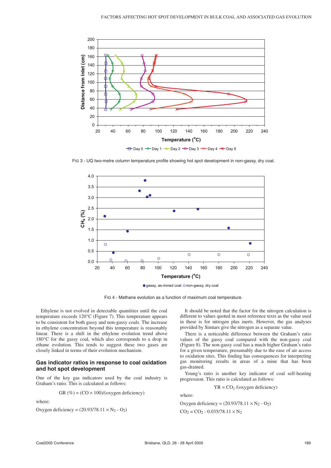

FIG 3 - UQ two-metre column temperature profile showing hot spot development in non-gassy, dry coal.



 $\bullet$  gassy, as-mined coal  $\circ$  non-gassy, dry coal

FIG 4 - Methane evolution as a function of maximum coal temperature.

Ethylene is not evolved in detectable quantities until the coal temperature exceeds 120°C (Figure 7). This temperature appears to be consistent for both gassy and non-gassy coals. The increase in ethylene concentration beyond this temperature is reasonably linear. There is a shift in the ethylene evolution trend above 180°C for the gassy coal, which also corresponds to a drop in ethane evolution. This tends to suggest these two gases are closely linked in terms of their evolution mechanism.

#### **Gas indicator ratios in response to coal oxidation and hot spot development**

One of the key gas indicators used by the coal industry is Graham's ratio. This is calculated as follows:

$$
GR (\%) = (CO \times 100) / (oxygen deficiency)
$$

where:

Oxygen deficiency =  $(20.93/78.11 \times N_2 - O_2)$ 

It should be noted that the factor for the nitrogen calculation is different to values quoted in most reference texts as the value used in these is for nitrogen plus inerts. However, the gas analyses provided by Simtars give the nitrogen as a separate value.

There is a noticeable difference between the Graham's ratio values of the gassy coal compared with the non-gassy coal (Figure 8). The non-gassy coal has a much higher Graham's ratio for a given temperature, presumably due to the ease of air access to oxidation sites. This finding has consequences for interpreting gas monitoring results in areas of a mine that has been gas-drained.

Young's ratio is another key indicator of coal self-heating progression. This ratio is calculated as follows:

 $YR = CO<sub>2</sub> / (oxygen deficiency)$ 

where:

Oxygen deficiency =  $(20.93/78.11 \times N_2 - O_2)$  $CO<sub>2</sub> = CO<sub>2</sub> - 0.035/78.11 \times N<sub>2</sub>$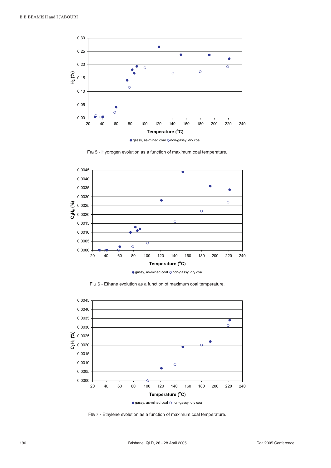

FIG 5 - Hydrogen evolution as a function of maximum coal temperature.



FIG 6 - Ethane evolution as a function of maximum coal temperature.



FIG 7 - Ethylene evolution as a function of maximum coal temperature.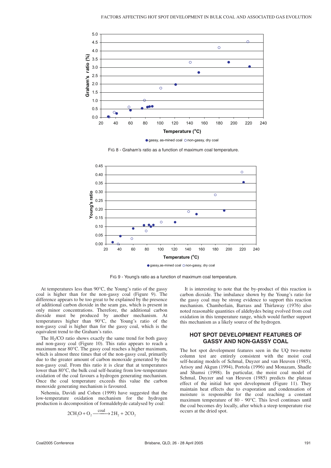

FIG 8 - Graham's ratio as a function of maximum coal temperature.



FIG 9 - Young's ratio as a function of maximum coal temperature.

At temperatures less than 90°C, the Young's ratio of the gassy coal is higher than for the non-gassy coal (Figure 9). The difference appears to be too great to be explained by the presence of additional carbon dioxide in the seam gas, which is present in only minor concentrations. Therefore, the additional carbon dioxide must be produced by another mechanism. At temperatures higher than 90°C, the Young's ratio of the non-gassy coal is higher than for the gassy coal, which is the equivalent trend to the Graham's ratio.

The  $H<sub>2</sub>/CO$  ratio shows exactly the same trend for both gassy and non-gassy coal (Figure 10). This ratio appears to reach a maximum near 80°C. The gassy coal reaches a higher maximum, which is almost three times that of the non-gassy coal, primarily due to the greater amount of carbon monoxide generated by the non-gassy coal. From this ratio it is clear that at temperatures lower than 80°C, the bulk coal self-heating from low-temperature oxidation of the coal favours a hydrogen generating mechanism. Once the coal temperature exceeds this value the carbon monoxide generating mechanism is favoured.

Nehemia, Davidi and Cohen (1999) have suggested that the low-temperature oxidation mechanism for the hydrogen production is decomposition of formaldehyde catalysed by coal:

$$
2CH_2O + O_2 \xrightarrow{\text{coal}} 2H_2 + 2CO_2
$$

It is interesting to note that the by-product of this reaction is carbon dioxide. The imbalance shown by the Young's ratio for the gassy coal may be strong evidence to support this reaction mechanism. Chamberlain, Barrass and Thirlaway (1976) also noted reasonable quantities of aldehydes being evolved from coal oxidation in this temperature range, which would further support this mechanism as a likely source of the hydrogen.

## **HOT SPOT DEVELOPMENT FEATURES OF GASSY AND NON-GASSY COAL**

The hot spot development features seen in the UQ two-metre column test are entirely consistent with the moist coal self-heating models of Schmal, Duyzer and van Heuven (1985), Arisoy and Akgun (1994), Portola (1996) and Monazam, Shadle and Shamsi (1998). In particular, the moist coal model of Schmal, Duyzer and van Heuven (1985) predicts the plateau effect of the initial hot spot development (Figure 11). They maintain heat effects due to evaporation and condensation of moisture is responsible for the coal reaching a constant maximum temperature of 80 - 90°C. This level continues until the coal becomes dry locally, after which a steep temperature rise occurs at the dried spot.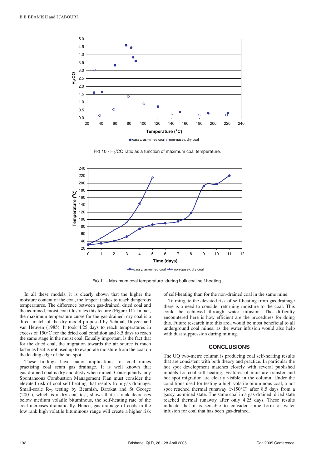

FIG 10 - H<sub>2</sub>/CO ratio as a function of maximum coal temperature.



FIG 11 - Maximum coal temperature during bulk coal self-heating.

In all these models, it is clearly shown that the higher the moisture content of the coal, the longer it takes to reach dangerous temperatures. The difference between gas-drained, dried coal and the as-mined, moist coal illustrates this feature (Figure 11). In fact, the maximum temperature curve for the gas-drained, dry coal is a direct match of the dry model proposed by Schmal, Duyzer and van Heuven (1985). It took 4.25 days to reach temperatures in excess of 150°C for the dried coal condition and 8.5 days to reach the same stage in the moist coal. Equally important, is the fact that for the dried coal, the migration towards the air source is much faster as heat is not used up to evaporate moisture from the coal on the leading edge of the hot spot.

These findings have major implications for coal mines practising coal seam gas drainage. It is well known that gas-drained coal is dry and dusty when mined. Consequently, any Spontaneous Combustion Management Plan must consider the elevated risk of coal self-heating that results from gas drainage. Small-scale  $R_{70}$  testing by Beamish, Barakat and St George (2001), which is a dry coal test, shows that as rank decreases below medium volatile bituminous, the self-heating rate of the coal increases dramatically. Hence, gas drainage of coals in the low rank high volatile bituminous range will create a higher risk of self-heating than for the non-drained coal in the same mine.

To mitigate the elevated risk of self-heating from gas drainage there is a need to consider returning moisture to the coal. This could be achieved through water infusion. The difficulty encountered here is how efficient are the procedures for doing this. Future research into this area would be most beneficial to all underground coal mines, as the water infusion would also help with dust suppression during mining.

#### **CONCLUSIONS**

The UQ two-metre column is producing coal self-heating results that are consistent with both theory and practice. In particular the hot spot development matches closely with several published models for coal self-heating. Features of moisture transfer and hot spot migration are clearly visible in the column. Under the conditions used for testing a high volatile bituminous coal, a hot spot reached thermal runaway (>150°C) after 8.5 days from a gassy, as-mined state. The same coal in a gas-drained, dried state reached thermal runaway after only 4.25 days. These results indicate that it is sensible to consider some form of water infusion for coal that has been gas-drained.